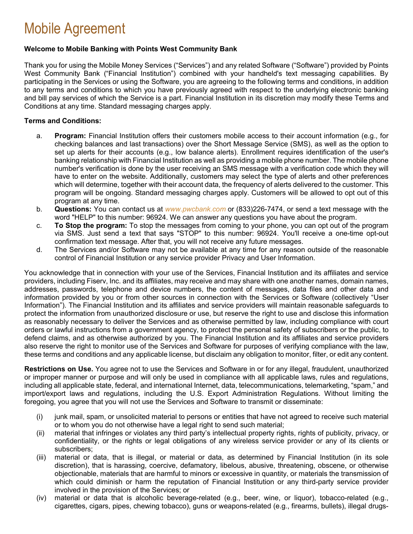### Mobile Agreement

#### **Welcome to Mobile Banking with Points West Community Bank**

Thank you for using the Mobile Money Services ("Services") and any related Software ("Software") provided by Points West Community Bank ("Financial Institution") combined with your handheld's text messaging capabilities. By participating in the Services or using the Software, you are agreeing to the following terms and conditions, in addition to any terms and conditions to which you have previously agreed with respect to the underlying electronic banking and bill pay services of which the Service is a part. Financial Institution in its discretion may modify these Terms and Conditions at any time. Standard messaging charges apply.

### **Terms and Conditions:**

- a. **Program:** Financial Institution offers their customers mobile access to their account information (e.g., for checking balances and last transactions) over the Short Message Service (SMS), as well as the option to set up alerts for their accounts (e.g., low balance alerts). Enrollment requires identification of the user's banking relationship with Financial Institution as well as providing a mobile phone number. The mobile phone number's verification is done by the user receiving an SMS message with a verification code which they will have to enter on the website. Additionally, customers may select the type of alerts and other preferences which will determine, together with their account data, the frequency of alerts delivered to the customer. This program will be ongoing. Standard messaging charges apply. Customers will be allowed to opt out of this program at any time.
- b. **Questions:** You can contact us at *[www.pwcbank.com](http://www.pwcbank.com/)* or (833)226-7474, or send a text message with the word "HELP" to this number: 96924. We can answer any questions you have about the program.
- c. **To Stop the program:** To stop the messages from coming to your phone, you can opt out of the program via SMS. Just send a text that says "STOP" to this number: 96924. You'll receive a one-time opt-out confirmation text message. After that, you will not receive any future messages.
- d. The Services and/or Software may not be available at any time for any reason outside of the reasonable control of Financial Institution or any service provider Privacy and User Information.

You acknowledge that in connection with your use of the Services, Financial Institution and its affiliates and service providers, including Fiserv, Inc. and its affiliates, may receive and may share with one another names, domain names, addresses, passwords, telephone and device numbers, the content of messages, data files and other data and information provided by you or from other sources in connection with the Services or Software (collectively "User Information"). The Financial Institution and its affiliates and service providers will maintain reasonable safeguards to protect the information from unauthorized disclosure or use, but reserve the right to use and disclose this information as reasonably necessary to deliver the Services and as otherwise permitted by law, including compliance with court orders or lawful instructions from a government agency, to protect the personal safety of subscribers or the public, to defend claims, and as otherwise authorized by you. The Financial Institution and its affiliates and service providers also reserve the right to monitor use of the Services and Software for purposes of verifying compliance with the law, these terms and conditions and any applicable license, but disclaim any obligation to monitor, filter, or edit any content.

**Restrictions on Use.** You agree not to use the Services and Software in or for any illegal, fraudulent, unauthorized or improper manner or purpose and will only be used in compliance with all applicable laws, rules and regulations, including all applicable state, federal, and international Internet, data, telecommunications, telemarketing, "spam," and import/export laws and regulations, including the U.S. Export Administration Regulations. Without limiting the foregoing, you agree that you will not use the Services and Software to transmit or disseminate:

- (i) junk mail, spam, or unsolicited material to persons or entities that have not agreed to receive such material or to whom you do not otherwise have a legal right to send such material;
- (ii) material that infringes or violates any third party's intellectual property rights, rights of publicity, privacy, or confidentiality, or the rights or legal obligations of any wireless service provider or any of its clients or subscribers;
- (iii) material or data, that is illegal, or material or data, as determined by Financial Institution (in its sole discretion), that is harassing, coercive, defamatory, libelous, abusive, threatening, obscene, or otherwise objectionable, materials that are harmful to minors or excessive in quantity, or materials the transmission of which could diminish or harm the reputation of Financial Institution or any third-party service provider involved in the provision of the Services; or
- (iv) material or data that is alcoholic beverage-related (e.g., beer, wine, or liquor), tobacco-related (e.g., cigarettes, cigars, pipes, chewing tobacco), guns or weapons-related (e.g., firearms, bullets), illegal drugs-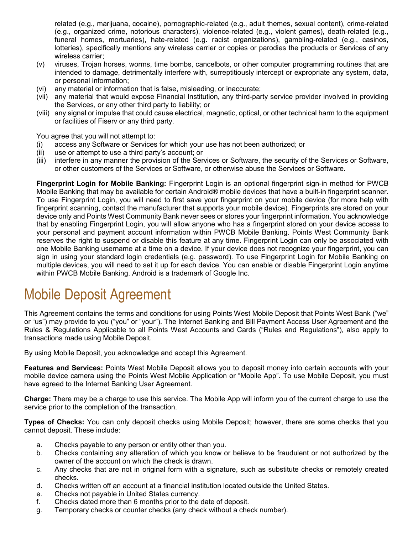related (e.g., marijuana, cocaine), pornographic-related (e.g., adult themes, sexual content), crime-related (e.g., organized crime, notorious characters), violence-related (e.g., violent games), death-related (e.g., funeral homes, mortuaries), hate-related (e.g. racist organizations), gambling-related (e.g., casinos, lotteries), specifically mentions any wireless carrier or copies or parodies the products or Services of any wireless carrier;

- (v) viruses, Trojan horses, worms, time bombs, cancelbots, or other computer programming routines that are intended to damage, detrimentally interfere with, surreptitiously intercept or expropriate any system, data, or personal information;
- (vi) any material or information that is false, misleading, or inaccurate;
- (vii) any material that would expose Financial Institution, any third-party service provider involved in providing the Services, or any other third party to liability; or
- (viii) any signal or impulse that could cause electrical, magnetic, optical, or other technical harm to the equipment or facilities of Fiserv or any third party.

You agree that you will not attempt to:

- (i) access any Software or Services for which your use has not been authorized; or
- (ii) use or attempt to use a third party's account; or
- (iii) interfere in any manner the provision of the Services or Software, the security of the Services or Software, or other customers of the Services or Software, or otherwise abuse the Services or Software.

**Fingerprint Login for Mobile Banking:** Fingerprint Login is an optional fingerprint sign-in method for PWCB Mobile Banking that may be available for certain Android® mobile devices that have a built-in fingerprint scanner. To use Fingerprint Login, you will need to first save your fingerprint on your mobile device (for more help with fingerprint scanning, contact the manufacturer that supports your mobile device). Fingerprints are stored on your device only and Points West Community Bank never sees or stores your fingerprint information. You acknowledge that by enabling Fingerprint Login, you will allow anyone who has a fingerprint stored on your device access to your personal and payment account information within PWCB Mobile Banking. Points West Community Bank reserves the right to suspend or disable this feature at any time. Fingerprint Login can only be associated with one Mobile Banking username at a time on a device. If your device does not recognize your fingerprint, you can sign in using your standard login credentials (e.g. password). To use Fingerprint Login for Mobile Banking on multiple devices, you will need to set it up for each device. You can enable or disable Fingerprint Login anytime within PWCB Mobile Banking. Android is a trademark of Google Inc.

## Mobile Deposit Agreement

This Agreement contains the terms and conditions for using Points West Mobile Deposit that Points West Bank ("we" or "us") may provide to you ("you" or "your"). The Internet Banking and Bill Payment Access User Agreement and the Rules & Regulations Applicable to all Points West Accounts and Cards ("Rules and Regulations"), also apply to transactions made using Mobile Deposit.

By using Mobile Deposit, you acknowledge and accept this Agreement.

**Features and Services:** Points West Mobile Deposit allows you to deposit money into certain accounts with your mobile device camera using the Points West Mobile Application or "Mobile App". To use Mobile Deposit, you must have agreed to the Internet Banking User Agreement.

**Charge:** There may be a charge to use this service. The Mobile App will inform you of the current charge to use the service prior to the completion of the transaction.

**Types of Checks:** You can only deposit checks using Mobile Deposit; however, there are some checks that you cannot deposit. These include:

- a. Checks payable to any person or entity other than you.
- b. Checks containing any alteration of which you know or believe to be fraudulent or not authorized by the owner of the account on which the check is drawn.
- c. Any checks that are not in original form with a signature, such as substitute checks or remotely created checks.
- d. Checks written off an account at a financial institution located outside the United States.
- e. Checks not payable in United States currency.
- f. Checks dated more than 6 months prior to the date of deposit.
- g. Temporary checks or counter checks (any check without a check number).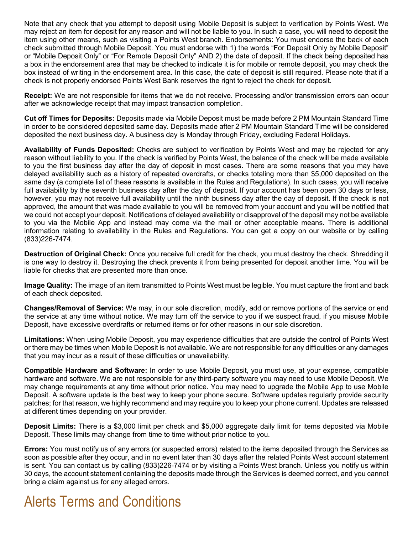Note that any check that you attempt to deposit using Mobile Deposit is subject to verification by Points West. We may reject an item for deposit for any reason and will not be liable to you. In such a case, you will need to deposit the item using other means, such as visiting a Points West branch. Endorsements: You must endorse the back of each check submitted through Mobile Deposit. You must endorse with 1) the words "For Deposit Only by Mobile Deposit" or "Mobile Deposit Only" or "For Remote Deposit Only" AND 2) the date of deposit. If the check being deposited has a box in the endorsement area that may be checked to indicate it is for mobile or remote deposit, you may check the box instead of writing in the endorsement area. In this case, the date of deposit is still required. Please note that if a check is not properly endorsed Points West Bank reserves the right to reject the check for deposit.

**Receipt:** We are not responsible for items that we do not receive. Processing and/or transmission errors can occur after we acknowledge receipt that may impact transaction completion.

**Cut off Times for Deposits:** Deposits made via Mobile Deposit must be made before 2 PM Mountain Standard Time in order to be considered deposited same day. Deposits made after 2 PM Mountain Standard Time will be considered deposited the next business day. A business day is Monday through Friday, excluding Federal Holidays.

**Availability of Funds Deposited:** Checks are subject to verification by Points West and may be rejected for any reason without liability to you. If the check is verified by Points West, the balance of the check will be made available to you the first business day after the day of deposit in most cases. There are some reasons that you may have delayed availability such as a history of repeated overdrafts, or checks totaling more than \$5,000 deposited on the same day (a complete list of these reasons is available in the Rules and Regulations). In such cases, you will receive full availability by the seventh business day after the day of deposit. If your account has been open 30 days or less, however, you may not receive full availability until the ninth business day after the day of deposit. If the check is not approved, the amount that was made available to you will be removed from your account and you will be notified that we could not accept your deposit. Notifications of delayed availability or disapproval of the deposit may not be available to you via the Mobile App and instead may come via the mail or other acceptable means. There is additional information relating to availability in the Rules and Regulations. You can get a copy on our website or by calling (833)226-7474.

**Destruction of Original Check:** Once you receive full credit for the check, you must destroy the check. Shredding it is one way to destroy it. Destroying the check prevents it from being presented for deposit another time. You will be liable for checks that are presented more than once.

**Image Quality:** The image of an item transmitted to Points West must be legible. You must capture the front and back of each check deposited.

**Changes/Removal of Service:** We may, in our sole discretion, modify, add or remove portions of the service or end the service at any time without notice. We may turn off the service to you if we suspect fraud, if you misuse Mobile Deposit, have excessive overdrafts or returned items or for other reasons in our sole discretion.

**Limitations:** When using Mobile Deposit, you may experience difficulties that are outside the control of Points West or there may be times when Mobile Deposit is not available. We are not responsible for any difficulties or any damages that you may incur as a result of these difficulties or unavailability.

**Compatible Hardware and Software:** In order to use Mobile Deposit, you must use, at your expense, compatible hardware and software. We are not responsible for any third-party software you may need to use Mobile Deposit. We may change requirements at any time without prior notice. You may need to upgrade the Mobile App to use Mobile Deposit. A software update is the best way to keep your phone secure. Software updates regularly provide security patches; for that reason, we highly recommend and may require you to keep your phone current. Updates are released at different times depending on your provider.

**Deposit Limits:** There is a \$3,000 limit per check and \$5,000 aggregate daily limit for items deposited via Mobile Deposit. These limits may change from time to time without prior notice to you.

**Errors:** You must notify us of any errors (or suspected errors) related to the items deposited through the Services as soon as possible after they occur, and in no event later than 30 days after the related Points West account statement is sent. You can contact us by calling (833)226-7474 or by visiting a Points West branch. Unless you notify us within 30 days, the account statement containing the deposits made through the Services is deemed correct, and you cannot bring a claim against us for any alleged errors.

# Alerts Terms and Conditions